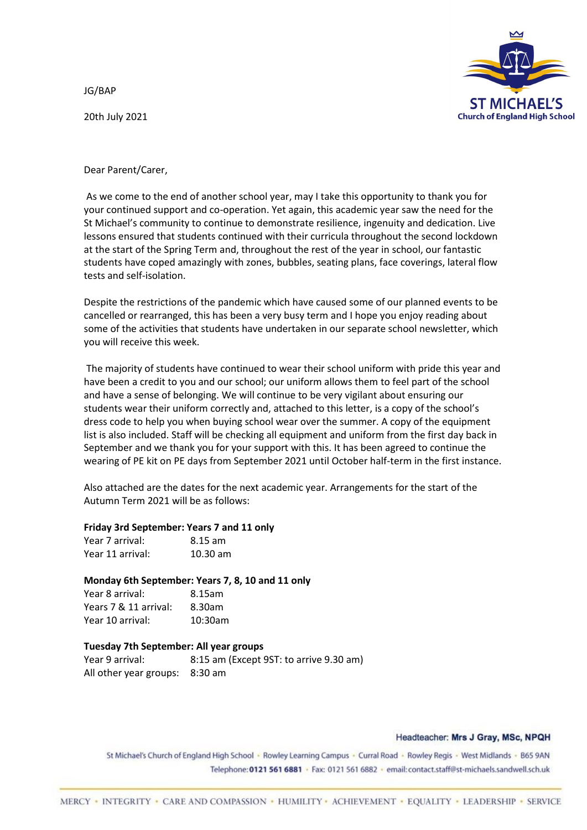JG/BAP

20th July 2021



Dear Parent/Carer,

As we come to the end of another school year, may I take this opportunity to thank you for your continued support and co-operation. Yet again, this academic year saw the need for the St Michael's community to continue to demonstrate resilience, ingenuity and dedication. Live lessons ensured that students continued with their curricula throughout the second lockdown at the start of the Spring Term and, throughout the rest of the year in school, our fantastic students have coped amazingly with zones, bubbles, seating plans, face coverings, lateral flow tests and self-isolation.

Despite the restrictions of the pandemic which have caused some of our planned events to be cancelled or rearranged, this has been a very busy term and I hope you enjoy reading about some of the activities that students have undertaken in our separate school newsletter, which you will receive this week.

The majority of students have continued to wear their school uniform with pride this year and have been a credit to you and our school; our uniform allows them to feel part of the school and have a sense of belonging. We will continue to be very vigilant about ensuring our students wear their uniform correctly and, attached to this letter, is a copy of the school's dress code to help you when buying school wear over the summer. A copy of the equipment list is also included. Staff will be checking all equipment and uniform from the first day back in September and we thank you for your support with this. It has been agreed to continue the wearing of PE kit on PE days from September 2021 until October half-term in the first instance.

Also attached are the dates for the next academic year. Arrangements for the start of the Autumn Term 2021 will be as follows:

# **Friday 3rd September: Years 7 and 11 only**

| Year 7 arrival:  | 8.15 am    |
|------------------|------------|
| Year 11 arrival: | $10.30$ am |

### **Monday 6th September: Years 7, 8, 10 and 11 only**

| Year 8 arrival:       | 8.15am  |
|-----------------------|---------|
| Years 7 & 11 arrival: | 8.30am  |
| Year 10 arrival:      | 10:30am |

# **Tuesday 7th September: All year groups**

Year 9 arrival: 8:15 am (Except 9ST: to arrive 9.30 am) All other year groups: 8:30 am

### Headteacher: Mrs J Gray, MSc, NPQH

St Michael's Church of England High School · Rowley Learning Campus · Curral Road · Rowley Regis · West Midlands · B65 9AN Telephone: 0121 561 6881 · Fax: 0121 561 6882 · email: contact.staff@st-michaels.sandwell.sch.uk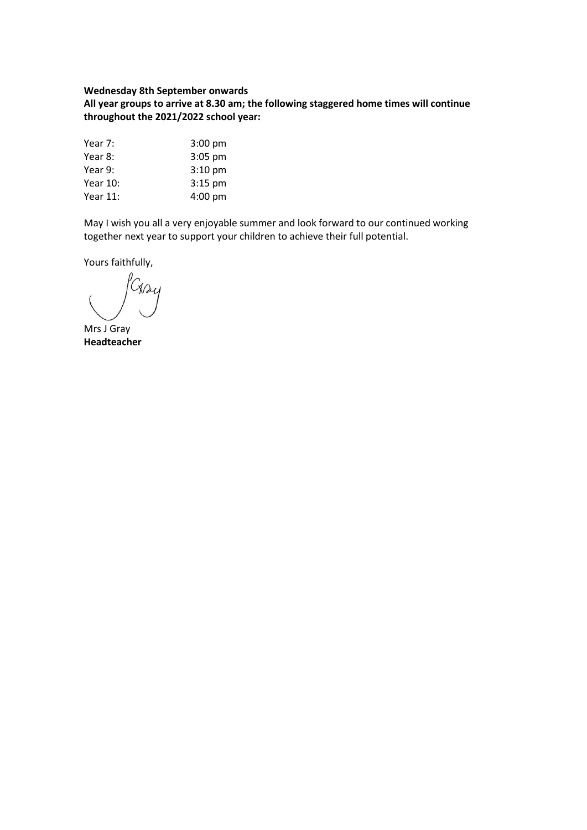### **Wednesday 8th September onwards**

**All year groups to arrive at 8.30 am; the following staggered home times will continue throughout the 2021/2022 school year:** 

| Year 7:  | $3:00$ pm |
|----------|-----------|
| Year 8:  | $3:05$ pm |
| Year 9:  | $3:10$ pm |
| Year 10: | $3:15$ pm |
| Year 11: | 4:00 pm   |

May I wish you all a very enjoyable summer and look forward to our continued working together next year to support your children to achieve their full potential.

Yours faithfully,

Cray

Mrs J Gray **Headteacher**